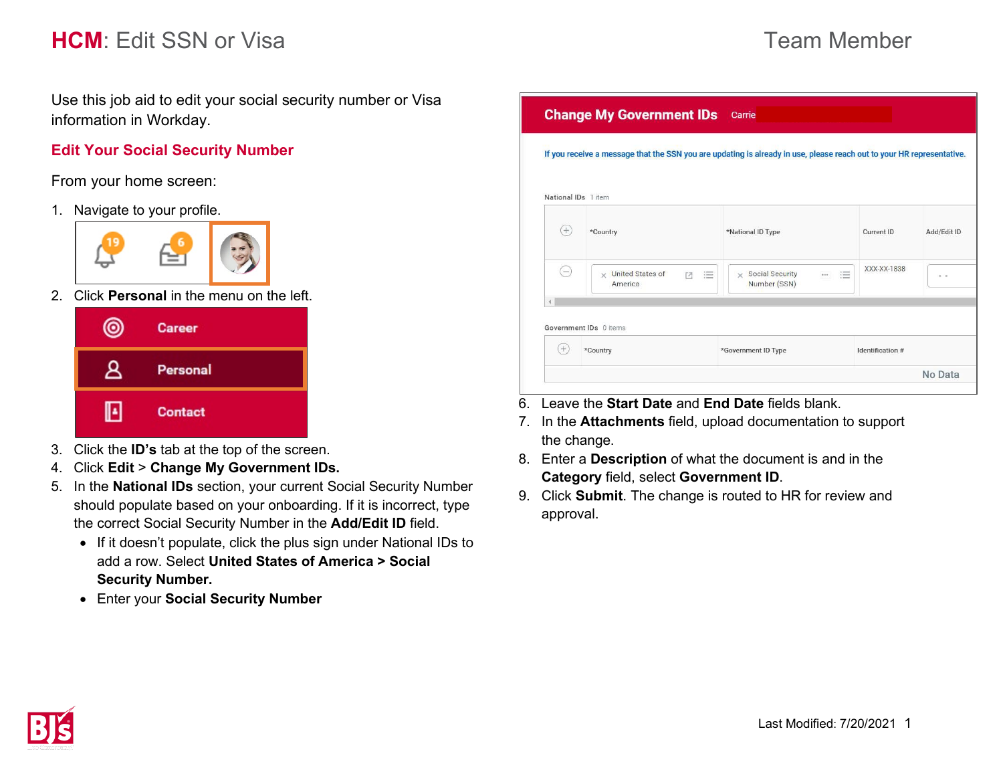## **HCM**: Fdit SSN or Visa **Team Member** Team Member

Use this job aid to edit your social security number or Visa information in Workday.

## **Edit Your Social Security Number**

From your home screen:

1. Navigate to your profile.



2. Click **Personal** in the menu on the left.



- 3. Click the **ID's** tab at the top of the screen.
- 4. Click **Edit** > **Change My Government IDs.**
- 5. In the **National IDs** section, your current Social Security Number should populate based on your onboarding. If it is incorrect, type the correct Social Security Number in the **Add/Edit ID** field.
	- If it doesn't populate, click the plus sign under National IDs to add a row. Select **United States of America > Social Security Number.**
	- Enter your **Social Security Number**

|                     | <b>Change My Government IDs</b> Carrie                                                                                |                                                   |                  |             |  |  |
|---------------------|-----------------------------------------------------------------------------------------------------------------------|---------------------------------------------------|------------------|-------------|--|--|
|                     | If you receive a message that the SSN you are updating is already in use, please reach out to your HR representative. |                                                   |                  |             |  |  |
| National IDs 1 item |                                                                                                                       |                                                   |                  |             |  |  |
| $(+)$               | *Country                                                                                                              | *National ID Type                                 | Current ID       | Add/Edit ID |  |  |
| $(-)$               | $\times$ United States of<br>這<br>$\overline{z}$<br>America                                                           | $\times$ Social Security<br>這<br><br>Number (SSN) | XXX-XX-1838      |             |  |  |
|                     | Government IDs 0 items                                                                                                |                                                   |                  |             |  |  |
| $^{+}$              | *Country                                                                                                              | *Government ID Type                               | Identification # |             |  |  |
|                     |                                                                                                                       |                                                   |                  | No Data     |  |  |

- 6. Leave the **Start Date** and **End Date** fields blank.
- 7. In the **Attachments** field, upload documentation to support the change.
- 8. Enter a **Description** of what the document is and in the **Category** field, select **Government ID**.
- 9. Click **Submit**. The change is routed to HR for review and approval.